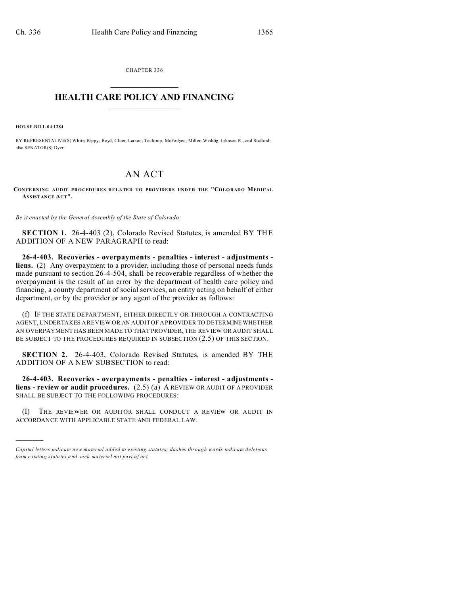CHAPTER 336  $\overline{\phantom{a}}$  , where  $\overline{\phantom{a}}$ 

## **HEALTH CARE POLICY AND FINANCING**  $\_$   $\_$   $\_$   $\_$   $\_$   $\_$   $\_$   $\_$

**HOUSE BILL 04-1284**

)))))

BY REPRESENTATIVE(S) White, Rippy, Boyd, Cloer, Larson, Tochtrop, McFadyen, Miller, Weddig, Johnson R., and Stafford; also SENATOR(S) Dyer.

## AN ACT

**CON CE RNING AUDIT PROCEDURES RELATED TO PROVIDERS UNDER THE "COLORADO MEDICAL ASSISTANCE ACT".**

*Be it enacted by the General Assembly of the State of Colorado:*

**SECTION 1.** 26-4-403 (2), Colorado Revised Statutes, is amended BY THE ADDITION OF A NEW PARAGRAPH to read:

**26-4-403. Recoveries - overpayments - penalties - interest - adjustments liens.** (2) Any overpayment to a provider, including those of personal needs funds made pursuant to section 26-4-504, shall be recoverable regardless of whether the overpayment is the result of an error by the department of health care policy and financing, a county department of social services, an entity acting on behalf of either department, or by the provider or any agent of the provider as follows:

(f) IF THE STATE DEPARTMENT, EITHER DIRECTLY OR THROUGH A CONTRACTING AGENT, UNDERTAKES A REVIEW OR AN AUDIT OF A PROVIDER TO DETERMINE WHETHER AN OVERPAYMENT HAS BEEN MADE TO THAT PROVIDER, THE REVIEW OR AUDIT SHALL BE SUBJECT TO THE PROCEDURES REQUIRED IN SUBSECTION (2.5) OF THIS SECTION.

**SECTION 2.** 26-4-403, Colorado Revised Statutes, is amended BY THE ADDITION OF A NEW SUBSECTION to read:

**26-4-403. Recoveries - overpayments - penalties - interest - adjustments liens - review or audit procedures.** (2.5) (a) A REVIEW OR AUDIT OF A PROVIDER SHALL BE SUBJECT TO THE FOLLOWING PROCEDURES:

(I) THE REVIEWER OR AUDITOR SHALL CONDUCT A REVIEW OR AUDIT IN ACCORDANCE WITH APPLICABLE STATE AND FEDERAL LAW.

*Capital letters indicate new material added to existing statutes; dashes through words indicate deletions from e xistin g statu tes a nd such ma teria l no t pa rt of ac t.*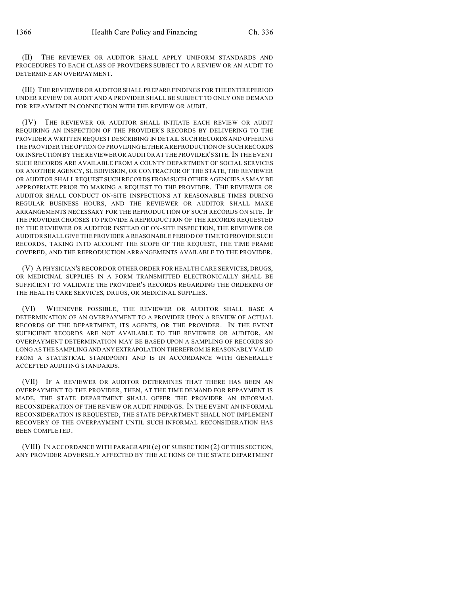(II) THE REVIEWER OR AUDITOR SHALL APPLY UNIFORM STANDARDS AND PROCEDURES TO EACH CLASS OF PROVIDERS SUBJECT TO A REVIEW OR AN AUDIT TO DETERMINE AN OVERPAYMENT.

(III) THE REVIEWER OR AUDITOR SHALL PREPARE FINDINGS FOR THE ENTIRE PERIOD UNDER REVIEW OR AUDIT AND A PROVIDER SHALL BE SUBJECT TO ONLY ONE DEMAND FOR REPAYMENT IN CONNECTION WITH THE REVIEW OR AUDIT.

(IV) THE REVIEWER OR AUDITOR SHALL INITIATE EACH REVIEW OR AUDIT REQUIRING AN INSPECTION OF THE PROVIDER'S RECORDS BY DELIVERING TO THE PROVIDER A WRITTEN REQUEST DESCRIBING IN DETAIL SUCH RECORDS AND OFFERING THE PROVIDER THE OPTION OF PROVIDING EITHER A REPRODUCTION OF SUCH RECORDS OR INSPECTION BY THE REVIEWER OR AUDITOR AT THE PROVIDER'S SITE. IN THE EVENT SUCH RECORDS ARE AVAILABLE FROM A COUNTY DEPARTMENT OF SOCIAL SERVICES OR ANOTHER AGENCY, SUBDIVISION, OR CONTRACTOR OF THE STATE, THE REVIEWER OR AUDITOR SHALL REQUEST SUCH RECORDS FROM SUCH OTHER AGENCIES AS MAY BE APPROPRIATE PRIOR TO MAKING A REQUEST TO THE PROVIDER. THE REVIEWER OR AUDITOR SHALL CONDUCT ON-SITE INSPECTIONS AT REASONABLE TIMES DURING REGULAR BUSINESS HOURS, AND THE REVIEWER OR AUDITOR SHALL MAKE ARRANGEMENTS NECESSARY FOR THE REPRODUCTION OF SUCH RECORDS ON SITE. IF THE PROVIDER CHOOSES TO PROVIDE A REPRODUCTION OF THE RECORDS REQUESTED BY THE REVIEWER OR AUDITOR INSTEAD OF ON-SITE INSPECTION, THE REVIEWER OR AUDITOR SHALL GIVE THE PROVIDER A REASONABLE PERIOD OF TIMETO PROVIDE SUCH RECORDS, TAKING INTO ACCOUNT THE SCOPE OF THE REQUEST, THE TIME FRAME COVERED, AND THE REPRODUCTION ARRANGEMENTS AVAILABLE TO THE PROVIDER.

(V) A PHYSICIAN'S RECORD OR OTHER ORDER FOR HEALTH CARE SERVICES, DRUGS, OR MEDICINAL SUPPLIES IN A FORM TRANSMITTED ELECTRONICALLY SHALL BE SUFFICIENT TO VALIDATE THE PROVIDER'S RECORDS REGARDING THE ORDERING OF THE HEALTH CARE SERVICES, DRUGS, OR MEDICINAL SUPPLIES.

(VI) WHENEVER POSSIBLE, THE REVIEWER OR AUDITOR SHALL BASE A DETERMINATION OF AN OVERPAYMENT TO A PROVIDER UPON A REVIEW OF ACTUAL RECORDS OF THE DEPARTMENT, ITS AGENTS, OR THE PROVIDER. IN THE EVENT SUFFICIENT RECORDS ARE NOT AVAILABLE TO THE REVIEWER OR AUDITOR, AN OVERPAYMENT DETERMINATION MAY BE BASED UPON A SAMPLING OF RECORDS SO LONG AS THE SAMPLING AND ANYEXTRAPOLATION THEREFROM IS REASONABLY VALID FROM A STATISTICAL STANDPOINT AND IS IN ACCORDANCE WITH GENERALLY ACCEPTED AUDITING STANDARDS.

(VII) IF A REVIEWER OR AUDITOR DETERMINES THAT THERE HAS BEEN AN OVERPAYMENT TO THE PROVIDER, THEN, AT THE TIME DEMAND FOR REPAYMENT IS MADE, THE STATE DEPARTMENT SHALL OFFER THE PROVIDER AN INFORMAL RECONSIDERATION OF THE REVIEW OR AUDIT FINDINGS. IN THE EVENT AN INFORMAL RECONSIDERATION IS REQUESTED, THE STATE DEPARTMENT SHALL NOT IMPLEMENT RECOVERY OF THE OVERPAYMENT UNTIL SUCH INFORMAL RECONSIDERATION HAS BEEN COMPLETED.

(VIII) IN ACCORDANCE WITH PARAGRAPH (e) OF SUBSECTION (2) OF THIS SECTION, ANY PROVIDER ADVERSELY AFFECTED BY THE ACTIONS OF THE STATE DEPARTMENT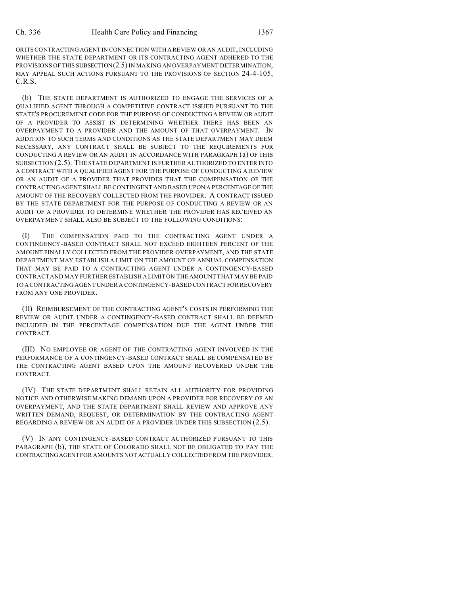ORITS CONTRACTING AGENT IN CONNECTION WITH A REVIEW OR AN AUDIT, INCLUDING WHETHER THE STATE DEPARTMENT OR ITS CONTRACTING AGENT ADHERED TO THE PROVISIONS OF THIS SUBSECTION(2.5) IN MAKING AN OVERPAYMENT DETERMINATION, MAY APPEAL SUCH ACTIONS PURSUANT TO THE PROVISIONS OF SECTION 24-4-105, C.R.S.

(b) THE STATE DEPARTMENT IS AUTHORIZED TO ENGAGE THE SERVICES OF A QUALIFIED AGENT THROUGH A COMPETITIVE CONTRACT ISSUED PURSUANT TO THE STATE'S PROCUREMENT CODE FOR THE PURPOSE OF CONDUCTING A REVIEW OR AUDIT OF A PROVIDER TO ASSIST IN DETERMINING WHETHER THERE HAS BEEN AN OVERPAYMENT TO A PROVIDER AND THE AMOUNT OF THAT OVERPAYMENT. IN ADDITION TO SUCH TERMS AND CONDITIONS AS THE STATE DEPARTMENT MAY DEEM NECESSARY, ANY CONTRACT SHALL BE SUBJECT TO THE REQUIREMENTS FOR CONDUCTING A REVIEW OR AN AUDIT IN ACCORDANCE WITH PARAGRAPH (a) OF THIS SUBSECTION (2.5). THE STATE DEPARTMENT IS FURTHER AUTHORIZED TO ENTER INTO A CONTRACT WITH A QUALIFIED AGENT FOR THE PURPOSE OF CONDUCTING A REVIEW OR AN AUDIT OF A PROVIDER THAT PROVIDES THAT THE COMPENSATION OF THE CONTRACTING AGENT SHALL BE CONTINGENT AND BASED UPON A PERCENTAGE OF THE AMOUNT OF THE RECOVERY COLLECTED FROM THE PROVIDER. A CONTRACT ISSUED BY THE STATE DEPARTMENT FOR THE PURPOSE OF CONDUCTING A REVIEW OR AN AUDIT OF A PROVIDER TO DETERMINE WHETHER THE PROVIDER HAS RECEIVED AN OVERPAYMENT SHALL ALSO BE SUBJECT TO THE FOLLOWING CONDITIONS:

(I) THE COMPENSATION PAID TO THE CONTRACTING AGENT UNDER A CONTINGENCY-BASED CONTRACT SHALL NOT EXCEED EIGHTEEN PERCENT OF THE AMOUNT FINALLY COLLECTED FROM THE PROVIDER OVERPAYMENT, AND THE STATE DEPARTMENT MAY ESTABLISH A LIMIT ON THE AMOUNT OF ANNUAL COMPENSATION THAT MAY BE PAID TO A CONTRACTING AGENT UNDER A CONTINGENCY-BASED CONTRACT AND MAY FURTHER ESTABLISH A LIMIT ON THE AMOUNT THAT MAY BE PAID TO ACONTRACTING AGENT UNDER A CONTINGENCY-BASED CONTRACT FOR RECOVERY FROM ANY ONE PROVIDER.

(II) REIMBURSEMENT OF THE CONTRACTING AGENT'S COSTS IN PERFORMING THE REVIEW OR AUDIT UNDER A CONTINGENCY-BASED CONTRACT SHALL BE DEEMED INCLUDED IN THE PERCENTAGE COMPENSATION DUE THE AGENT UNDER THE CONTRACT.

(III) NO EMPLOYEE OR AGENT OF THE CONTRACTING AGENT INVOLVED IN THE PERFORMANCE OF A CONTINGENCY-BASED CONTRACT SHALL BE COMPENSATED BY THE CONTRACTING AGENT BASED UPON THE AMOUNT RECOVERED UNDER THE CONTRACT.

(IV) THE STATE DEPARTMENT SHALL RETAIN ALL AUTHORITY FOR PROVIDING NOTICE AND OTHERWISE MAKING DEMAND UPON A PROVIDER FOR RECOVERY OF AN OVERPAYMENT, AND THE STATE DEPARTMENT SHALL REVIEW AND APPROVE ANY WRITTEN DEMAND, REQUEST, OR DETERMINATION BY THE CONTRACTING AGENT REGARDING A REVIEW OR AN AUDIT OF A PROVIDER UNDER THIS SUBSECTION (2.5).

(V) IN ANY CONTINGENCY-BASED CONTRACT AUTHORIZED PURSUANT TO THIS PARAGRAPH (b), THE STATE OF COLORADO SHALL NOT BE OBLIGATED TO PAY THE CONTRACTINGAGENT FOR AMOUNTS NOT ACTUALLY COLLECTED FROM THE PROVIDER.